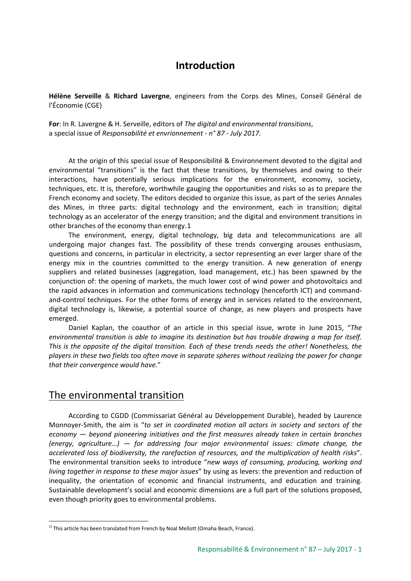# **Introduction**

**Hélène Serveille** & **Richard Lavergne**, engineers from the Corps des Mines, Conseil Général de l'Économie (CGE)

**For**: In R. Lavergne & H. Serveille, editors of *The digital and environmental transitions*, a special issue of *Responsabilité et envrionnement - n° 87 - July 2017*.

At the origin of this special issue of Responsibilité & Environnement devoted to the digital and environmental "transitions" is the fact that these transitions, by themselves and owing to their interactions, have potentially serious implications for the environment, economy, society, techniques, etc. It is, therefore, worthwhile gauging the opportunities and risks so as to prepare the French economy and society. The editors decided to organize this issue, as part of the series Annales des Mines, in three parts: digital technology and the environment, each in transition; digital technology as an accelerator of the energy transition; and the digital and environment transitions in other branches of the economy than energy.[1](#page-0-0)

The environment, energy, digital technology, big data and telecommunications are all undergoing major changes fast. The possibility of these trends converging arouses enthusiasm, questions and concerns, in particular in electricity, a sector representing an ever larger share of the energy mix in the countries committed to the energy transition. A new generation of energy suppliers and related businesses (aggregation, load management, etc.) has been spawned by the conjunction of: the opening of markets, the much lower cost of wind power and photovoltaics and the rapid advances in information and communications technology (henceforth ICT) and commandand-control techniques. For the other forms of energy and in services related to the environment, digital technology is, likewise, a potential source of change, as new players and prospects have emerged.

Daniel Kaplan, the coauthor of an article in this special issue, wrote in June 2015, "*The environmental transition is able to imagine its destination but has trouble drawing a map for itself. This is the opposite of the digital transition. Each of these trends needs the other! Nonetheless, the players in these two fields too often move in separate spheres without realizing the power for change that their convergence would have.*"

## The environmental transition

According to CGDD (Commissariat Général au Développement Durable), headed by Laurence Monnoyer-Smith, the aim is "*to set in coordinated motion all actors in society and sectors of the economy — beyond pioneering initiatives and the first measures already taken in certain branches (energy, agriculture…) — for addressing four major environmental issues: climate change, the accelerated loss of biodiversity, the rarefaction of resources, and the multiplication of health risks*". The environmental transition seeks to introduce "*new ways of consuming, producing, working and living together in response to these major issues*" by using as levers: the prevention and reduction of inequality, the orientation of economic and financial instruments, and education and training. Sustainable development's social and economic dimensions are a full part of the solutions proposed, even though priority goes to environmental problems.

<span id="page-0-0"></span>1) This article has been translated from French by Noal Mellott (Omaha Beach, France).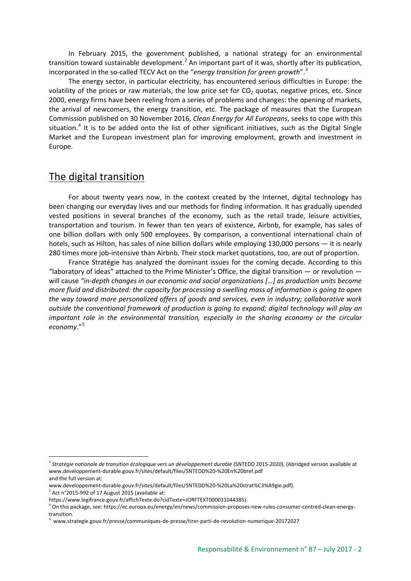In February 2015, the government published, a national strategy for an environmental transition toward sustainable development.<sup>[2](#page-1-0)</sup> An important part of it was, shortly after its publication, incorporated in the so-called TECV Act on the "*energy transition for green growth*". [3](#page-1-1)

The energy sector, in particular electricity, has encountered serious difficulties in Europe: the volatility of the prices or raw materials, the low price set for  $CO<sub>2</sub>$  quotas, negative prices, etc. Since 2000, energy firms have been reeling from a series of problems and changes: the opening of markets, the arrival of newcomers, the energy transition, etc. The package of measures that the European Commission published on 30 November 2016, *Clean Energy for All Europeans*, seeks to cope with this situation.<sup>[4](#page-1-2)</sup> It is to be added onto the list of other significant initiatives, such as the Digital Single Market and the European investment plan for improving employment, growth and investment in Europe.

#### The digital transition

For about twenty years now, in the context created by the Internet, digital technology has been changing our everyday lives and our methods for finding information. It has gradually upended vested positions in several branches of the economy, such as the retail trade, leisure activities, transportation and tourism. In fewer than ten years of existence, Airbnb, for example, has sales of one billion dollars with only 500 employees. By comparison, a conventional international chain of hotels, such as Hilton, has sales of nine billion dollars while employing 130,000 persons — it is nearly 280 times more job-intensive than Airbnb. Their stock market quotations, too, are out of proportion.

France Stratégie has analyzed the dominant issues for the coming decade. According to this "laboratory of ideas" attached to the Prime Minister's Office, the digital transition  $-$  or revolution  $$ will cause *"in-depth changes in our economic and social organizations […] as production units become more fluid and distributed: the capacity for processing a swelling mass of information is going to open the way toward more personalized offers of goods and services, even in industry; collaborative work outside the conventional framework of production is going to expand; digital technology will play an important role in the environmental transition, especially in the sharing economy or the circular economy.*"[5](#page-1-3)

-

<span id="page-1-0"></span><sup>&</sup>lt;sup>2</sup> Stratégie nationale de transition écologique vers un développement durable (SNTEDD 2015-2020). (Abridged version available at www.developpement-durable.gouv.fr/sites/default/files/SNTEDD%20-%20En%20bref.pdf and the full version at:

www.developpement-durable.gouv.fr/sites/default/files/SNTEDD%20-%20La%20strat%C3%A9gie.pdf).

<span id="page-1-1"></span><sup>3</sup> Act n°2015-992 of 17 August 2015 (available at:

https://www.legifrance.gouv.fr/affichTexte.do?cidTexte=JORFTEXT000031044385).

<span id="page-1-2"></span><sup>4</sup> On this package, see: https://ec.europa.eu/energy/en/news/commission-proposes-new-rules-consumer-centred-clean-energytransition.

<span id="page-1-3"></span><sup>5</sup> www.strategie.gouv.fr/presse/communiques-de-presse/tirer-parti-de-revolution-numerique-20172027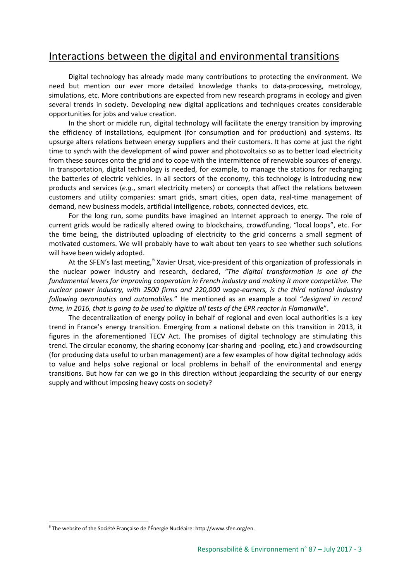# Interactions between the digital and environmental transitions

Digital technology has already made many contributions to protecting the environment. We need but mention our ever more detailed knowledge thanks to data-processing, metrology, simulations, etc. More contributions are expected from new research programs in ecology and given several trends in society. Developing new digital applications and techniques creates considerable opportunities for jobs and value creation.

In the short or middle run, digital technology will facilitate the energy transition by improving the efficiency of installations, equipment (for consumption and for production) and systems. Its upsurge alters relations between energy suppliers and their customers. It has come at just the right time to synch with the development of wind power and photovoltaics so as to better load electricity from these sources onto the grid and to cope with the intermittence of renewable sources of energy. In transportation, digital technology is needed, for example, to manage the stations for recharging the batteries of electric vehicles. In all sectors of the economy, this technology is introducing new products and services (*e.g.*, smart electricity meters) or concepts that affect the relations between customers and utility companies: smart grids, smart cities, open data, real-time management of demand, new business models, artificial intelligence, robots, connected devices, etc.

For the long run, some pundits have imagined an Internet approach to energy. The role of current grids would be radically altered owing to blockchains, crowdfunding, "local loops", etc. For the time being, the distributed uploading of electricity to the grid concerns a small segment of motivated customers. We will probably have to wait about ten years to see whether such solutions will have been widely adopted.

At the SFEN's last meeting, <sup>[6](#page-2-0)</sup> Xavier Ursat, vice-president of this organization of professionals in the nuclear power industry and research, declared, *"The digital transformation is one of the fundamental levers for improving cooperation in French industry and making it more competitive. The nuclear power industry, with 2500 firms and 220,000 wage-earners, is the third national industry following aeronautics and automobiles.*" He mentioned as an example a tool "*designed in record time, in 2016, that is going to be used to digitize all tests of the EPR reactor in Flamanville*".

The decentralization of energy policy in behalf of regional and even local authorities is a key trend in France's energy transition. Emerging from a national debate on this transition in 2013, it figures in the aforementioned TECV Act. The promises of digital technology are stimulating this trend. The circular economy, the sharing economy (car-sharing and -pooling, etc.) and crowdsourcing (for producing data useful to urban management) are a few examples of how digital technology adds to value and helps solve regional or local problems in behalf of the environmental and energy transitions. But how far can we go in this direction without jeopardizing the security of our energy supply and without imposing heavy costs on society?

-

<span id="page-2-0"></span><sup>6</sup> The website of the Société Française de l'Énergie Nucléaire: http://www.sfen.org/en.